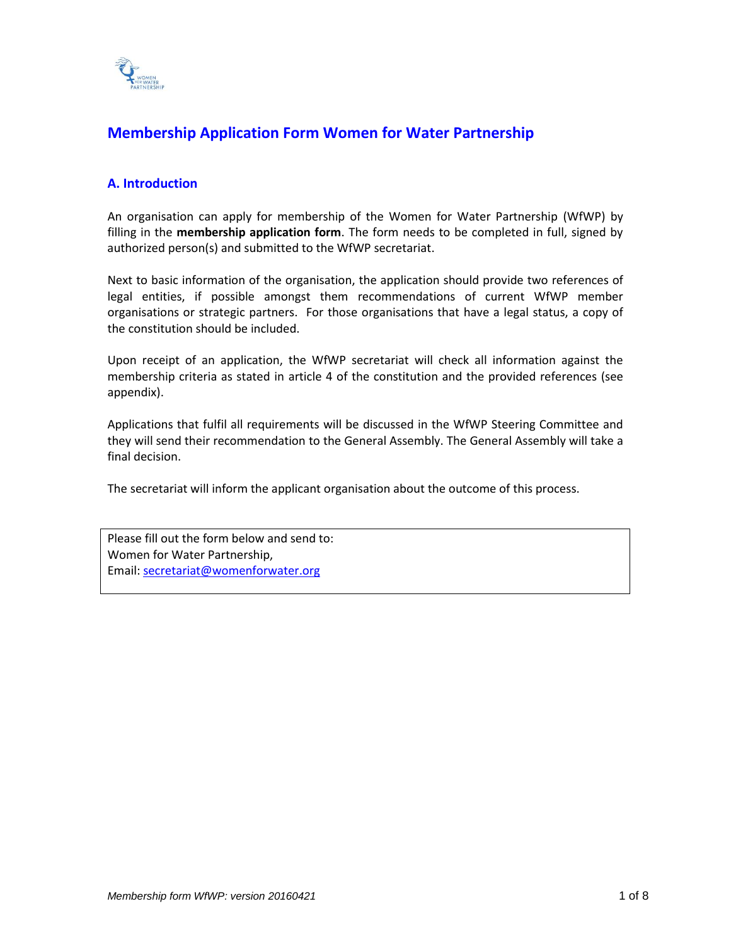

# **Membership Application Form Women for Water Partnership**

## **A. Introduction**

An organisation can apply for membership of the Women for Water Partnership (WfWP) by filling in the **membership application form**. The form needs to be completed in full, signed by authorized person(s) and submitted to the WfWP secretariat.

Next to basic information of the organisation, the application should provide two references of legal entities, if possible amongst them recommendations of current WfWP member organisations or strategic partners. For those organisations that have a legal status, a copy of the constitution should be included.

Upon receipt of an application, the WfWP secretariat will check all information against the membership criteria as stated in article 4 of the constitution and the provided references (see appendix).

Applications that fulfil all requirements will be discussed in the WfWP Steering Committee and they will send their recommendation to the General Assembly. The General Assembly will take a final decision.

The secretariat will inform the applicant organisation about the outcome of this process.

Please fill out the form below and send to: Women for Water Partnership, Email: [secretariat@womenforwater.org](mailto:secretariat@womenforwater.org)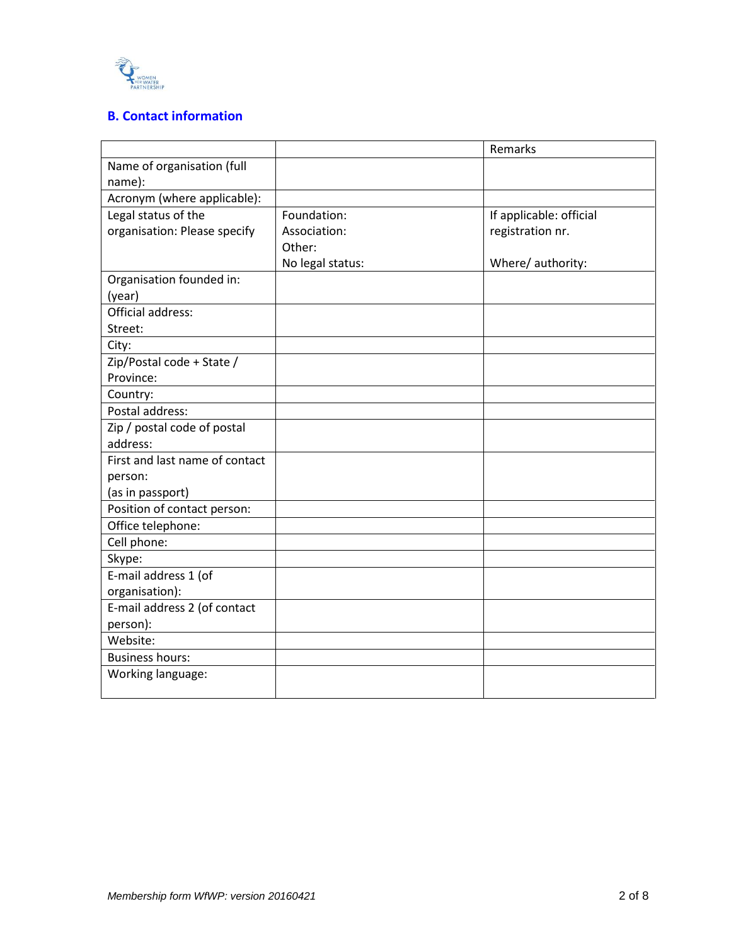

# **B. Contact information**

|                                |                  | Remarks                 |
|--------------------------------|------------------|-------------------------|
| Name of organisation (full     |                  |                         |
| name):                         |                  |                         |
| Acronym (where applicable):    |                  |                         |
| Legal status of the            | Foundation:      | If applicable: official |
| organisation: Please specify   | Association:     | registration nr.        |
|                                | Other:           |                         |
|                                | No legal status: | Where/ authority:       |
| Organisation founded in:       |                  |                         |
| (year)                         |                  |                         |
| <b>Official address:</b>       |                  |                         |
| Street:                        |                  |                         |
| City:                          |                  |                         |
| Zip/Postal code + State /      |                  |                         |
| Province:                      |                  |                         |
| Country:                       |                  |                         |
| Postal address:                |                  |                         |
| Zip / postal code of postal    |                  |                         |
| address:                       |                  |                         |
| First and last name of contact |                  |                         |
| person:                        |                  |                         |
| (as in passport)               |                  |                         |
| Position of contact person:    |                  |                         |
| Office telephone:              |                  |                         |
| Cell phone:                    |                  |                         |
| Skype:                         |                  |                         |
| E-mail address 1 (of           |                  |                         |
| organisation):                 |                  |                         |
| E-mail address 2 (of contact   |                  |                         |
| person):                       |                  |                         |
| Website:                       |                  |                         |
| <b>Business hours:</b>         |                  |                         |
| Working language:              |                  |                         |
|                                |                  |                         |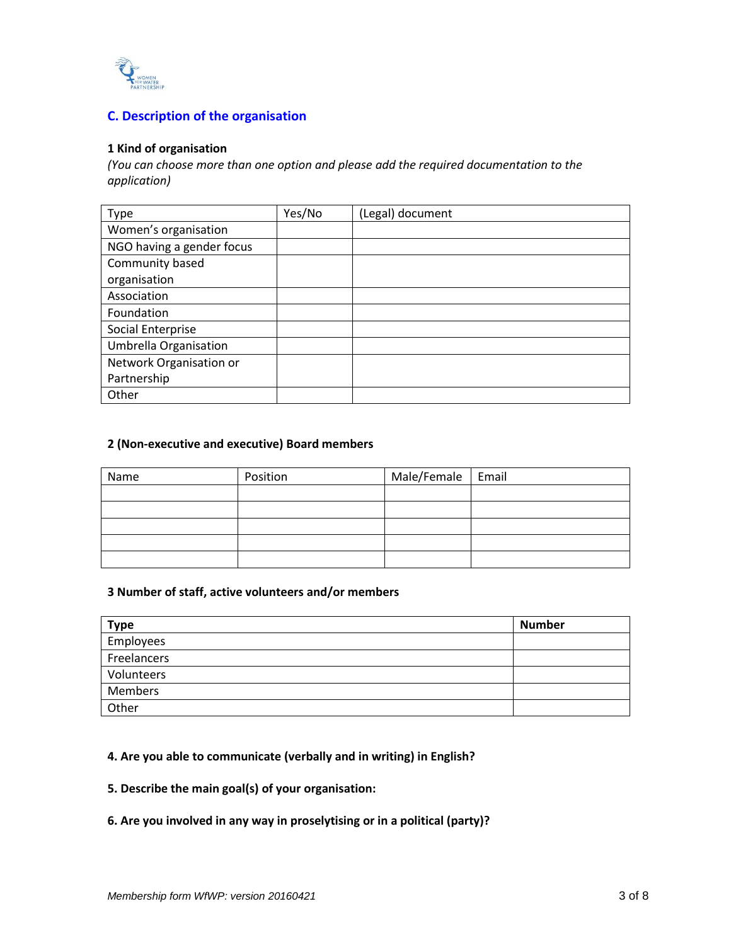

# **C. Description of the organisation**

#### **1 Kind of organisation**

*(You can choose more than one option and please add the required documentation to the application)* 

| Type                         | Yes/No | (Legal) document |
|------------------------------|--------|------------------|
| Women's organisation         |        |                  |
| NGO having a gender focus    |        |                  |
| Community based              |        |                  |
| organisation                 |        |                  |
| Association                  |        |                  |
| Foundation                   |        |                  |
| Social Enterprise            |        |                  |
| <b>Umbrella Organisation</b> |        |                  |
| Network Organisation or      |        |                  |
| Partnership                  |        |                  |
| Other                        |        |                  |

### **2 (Non-executive and executive) Board members**

| Name | Position | Male/Female   Email |  |
|------|----------|---------------------|--|
|      |          |                     |  |
|      |          |                     |  |
|      |          |                     |  |
|      |          |                     |  |
|      |          |                     |  |

## **3 Number of staff, active volunteers and/or members**

| <b>Type</b> | <b>Number</b> |
|-------------|---------------|
| Employees   |               |
| Freelancers |               |
| Volunteers  |               |
| Members     |               |
| Other       |               |

#### **4. Are you able to communicate (verbally and in writing) in English?**

**5. Describe the main goal(s) of your organisation:** 

## **6. Are you involved in any way in proselytising or in a political (party)?**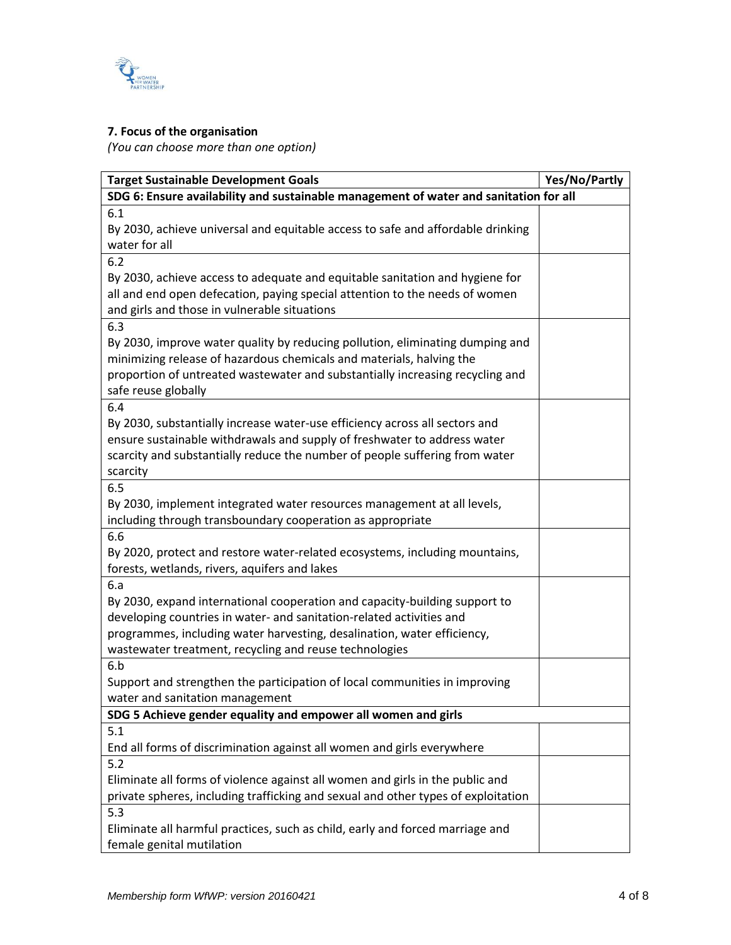

# **7. Focus of the organisation**

*(You can choose more than one option)* 

| <b>Target Sustainable Development Goals</b>                                                                                                                                                                                                                                                    | Yes/No/Partly |
|------------------------------------------------------------------------------------------------------------------------------------------------------------------------------------------------------------------------------------------------------------------------------------------------|---------------|
| SDG 6: Ensure availability and sustainable management of water and sanitation for all                                                                                                                                                                                                          |               |
| 6.1<br>By 2030, achieve universal and equitable access to safe and affordable drinking<br>water for all                                                                                                                                                                                        |               |
| 6.2                                                                                                                                                                                                                                                                                            |               |
| By 2030, achieve access to adequate and equitable sanitation and hygiene for<br>all and end open defecation, paying special attention to the needs of women<br>and girls and those in vulnerable situations                                                                                    |               |
| 6.3<br>By 2030, improve water quality by reducing pollution, eliminating dumping and<br>minimizing release of hazardous chemicals and materials, halving the<br>proportion of untreated wastewater and substantially increasing recycling and<br>safe reuse globally                           |               |
| 6.4<br>By 2030, substantially increase water-use efficiency across all sectors and<br>ensure sustainable withdrawals and supply of freshwater to address water<br>scarcity and substantially reduce the number of people suffering from water<br>scarcity                                      |               |
| 6.5                                                                                                                                                                                                                                                                                            |               |
| By 2030, implement integrated water resources management at all levels,<br>including through transboundary cooperation as appropriate                                                                                                                                                          |               |
| 6.6                                                                                                                                                                                                                                                                                            |               |
| By 2020, protect and restore water-related ecosystems, including mountains,<br>forests, wetlands, rivers, aquifers and lakes                                                                                                                                                                   |               |
| 6.a<br>By 2030, expand international cooperation and capacity-building support to<br>developing countries in water- and sanitation-related activities and<br>programmes, including water harvesting, desalination, water efficiency,<br>wastewater treatment, recycling and reuse technologies |               |
| 6.b<br>Support and strengthen the participation of local communities in improving<br>water and sanitation management                                                                                                                                                                           |               |
| SDG 5 Achieve gender equality and empower all women and girls                                                                                                                                                                                                                                  |               |
| 5.1                                                                                                                                                                                                                                                                                            |               |
| End all forms of discrimination against all women and girls everywhere                                                                                                                                                                                                                         |               |
| 5.2<br>Eliminate all forms of violence against all women and girls in the public and<br>private spheres, including trafficking and sexual and other types of exploitation                                                                                                                      |               |
| 5.3<br>Eliminate all harmful practices, such as child, early and forced marriage and<br>female genital mutilation                                                                                                                                                                              |               |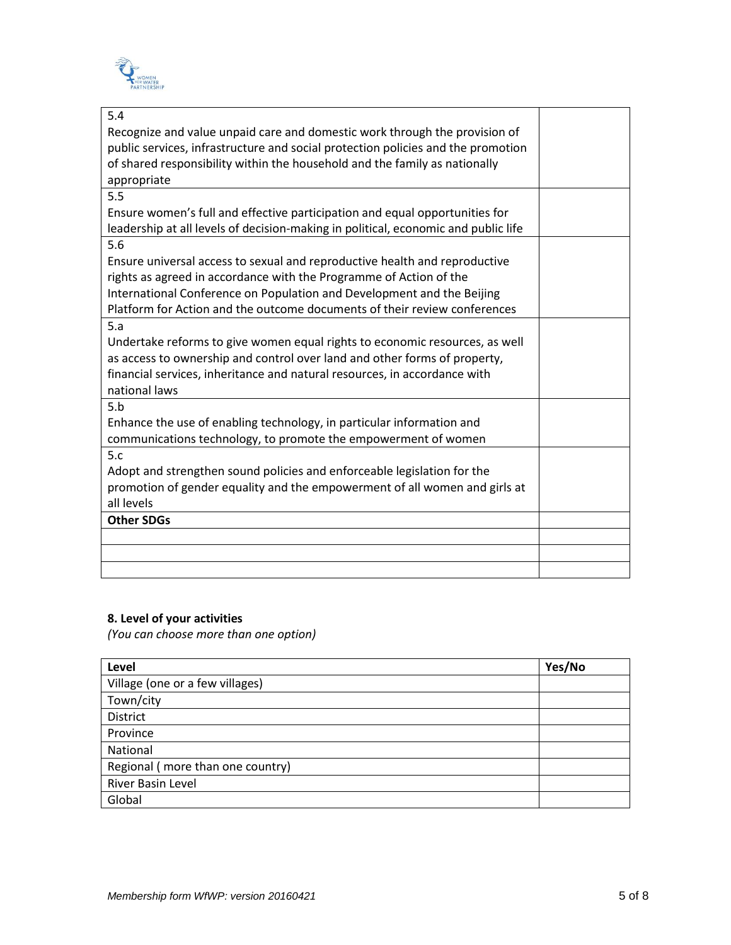

| 5.4                                                                                |  |
|------------------------------------------------------------------------------------|--|
| Recognize and value unpaid care and domestic work through the provision of         |  |
| public services, infrastructure and social protection policies and the promotion   |  |
| of shared responsibility within the household and the family as nationally         |  |
| appropriate                                                                        |  |
| 5.5                                                                                |  |
| Ensure women's full and effective participation and equal opportunities for        |  |
| leadership at all levels of decision-making in political, economic and public life |  |
| 5.6                                                                                |  |
| Ensure universal access to sexual and reproductive health and reproductive         |  |
| rights as agreed in accordance with the Programme of Action of the                 |  |
| International Conference on Population and Development and the Beijing             |  |
| Platform for Action and the outcome documents of their review conferences          |  |
| 5.a                                                                                |  |
| Undertake reforms to give women equal rights to economic resources, as well        |  |
| as access to ownership and control over land and other forms of property,          |  |
| financial services, inheritance and natural resources, in accordance with          |  |
| national laws                                                                      |  |
| 5.b                                                                                |  |
| Enhance the use of enabling technology, in particular information and              |  |
| communications technology, to promote the empowerment of women                     |  |
| 5.c                                                                                |  |
| Adopt and strengthen sound policies and enforceable legislation for the            |  |
| promotion of gender equality and the empowerment of all women and girls at         |  |
| all levels                                                                         |  |
| <b>Other SDGs</b>                                                                  |  |
|                                                                                    |  |
|                                                                                    |  |
|                                                                                    |  |

# **8. Level of your activities**

*(You can choose more than one option)* 

| Level                            | Yes/No |
|----------------------------------|--------|
| Village (one or a few villages)  |        |
| Town/city                        |        |
| District                         |        |
| Province                         |        |
| National                         |        |
| Regional (more than one country) |        |
| <b>River Basin Level</b>         |        |
| Global                           |        |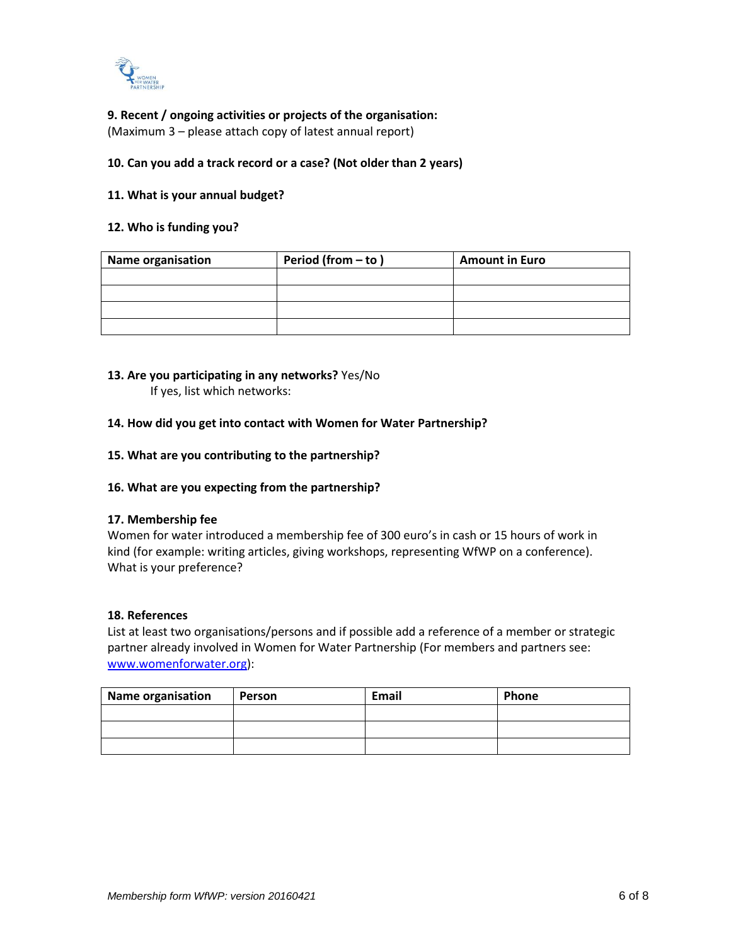

## **9. Recent / ongoing activities or projects of the organisation:**

(Maximum 3 – please attach copy of latest annual report)

### **10. Can you add a track record or a case? (Not older than 2 years)**

#### **11. What is your annual budget?**

#### **12. Who is funding you?**

| <b>Name organisation</b> | Period (from $-$ to)<br><b>Amount in Euro</b> |  |
|--------------------------|-----------------------------------------------|--|
|                          |                                               |  |
|                          |                                               |  |
|                          |                                               |  |
|                          |                                               |  |

# **13. Are you participating in any networks?** Yes/No

If yes, list which networks:

#### **14. How did you get into contact with Women for Water Partnership?**

#### **15. What are you contributing to the partnership?**

## **16. What are you expecting from the partnership?**

#### **17. Membership fee**

Women for water introduced a membership fee of 300 euro's in cash or 15 hours of work in kind (for example: writing articles, giving workshops, representing WfWP on a conference). What is your preference?

#### **18. References**

List at least two organisations/persons and if possible add a reference of a member or strategic partner already involved in Women for Water Partnership (For members and partners see: [www.womenforwater.org\)](http://www.womenforwater.org/):

| Name organisation | Person | Email | Phone |
|-------------------|--------|-------|-------|
|                   |        |       |       |
|                   |        |       |       |
|                   |        |       |       |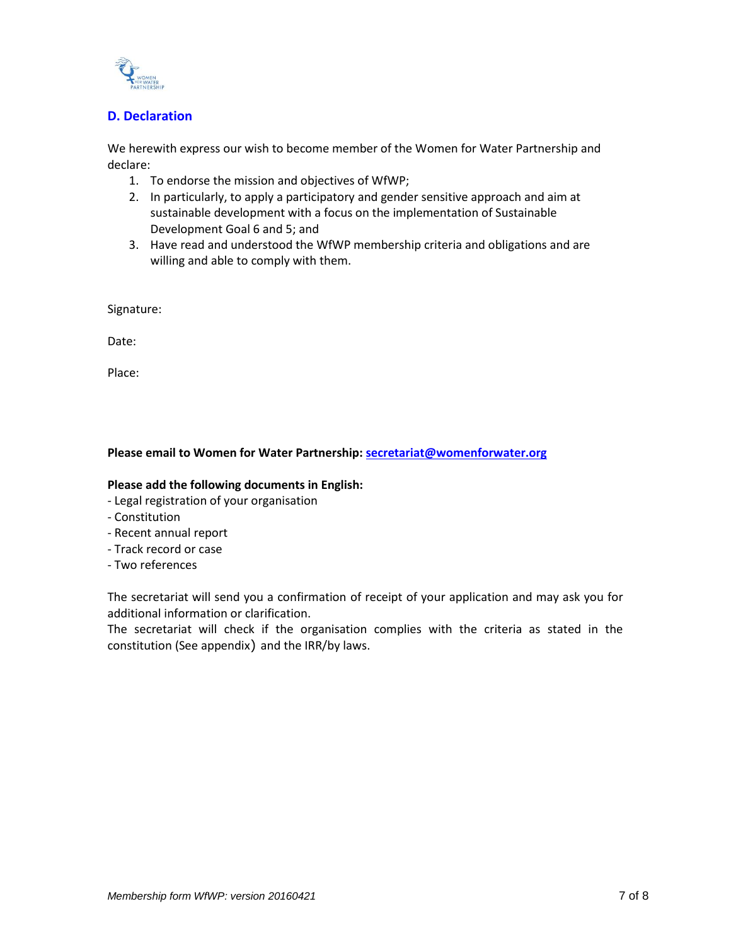

# **D. Declaration**

We herewith express our wish to become member of the Women for Water Partnership and declare:

- 1. To endorse the mission and objectives of WfWP;
- 2. In particularly, to apply a participatory and gender sensitive approach and aim at sustainable development with a focus on the implementation of Sustainable Development Goal 6 and 5; and
- 3. Have read and understood the WfWP membership criteria and obligations and are willing and able to comply with them.

Signature:

Date:

Place:

## **Please email to Women for Water Partnership[: secretariat@womenforwater.org](mailto:secretariat@womenforwater.org)**

## **Please add the following documents in English:**

- Legal registration of your organisation
- Constitution
- Recent annual report
- Track record or case
- Two references

The secretariat will send you a confirmation of receipt of your application and may ask you for additional information or clarification.

The secretariat will check if the organisation complies with the criteria as stated in the constitution (See appendix) and the IRR/by laws.